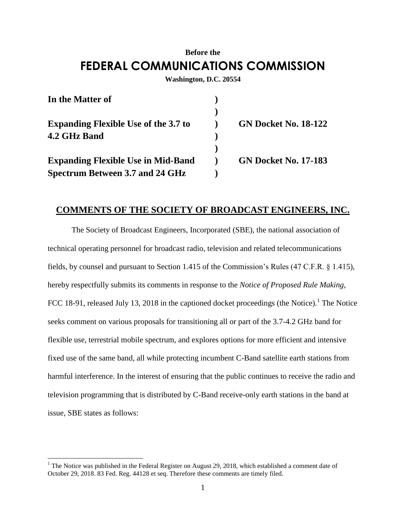## **Before the FEDERAL COMMUNICATIONS COMMISSION**

**Washington, D.C. 20554**

| In the Matter of                            |                             |
|---------------------------------------------|-----------------------------|
|                                             |                             |
| <b>Expanding Flexible Use of the 3.7 to</b> | <b>GN Docket No. 18-122</b> |
| 4.2 GHz Band                                |                             |
|                                             |                             |
| <b>Expanding Flexible Use in Mid-Band</b>   | <b>GN Docket No. 17-183</b> |
| Spectrum Between 3.7 and 24 GHz             |                             |

## **COMMENTS OF THE SOCIETY OF BROADCAST ENGINEERS, INC.**

The Society of Broadcast Engineers, Incorporated (SBE), the national association of technical operating personnel for broadcast radio, television and related telecommunications fields, by counsel and pursuant to Section 1.415 of the Commission's Rules (47 C.F.R. § 1.415), hereby respectfully submits its comments in response to the *Notice of Proposed Rule Making*, FCC 18-91, released July 13, 2018 in the captioned docket proceedings (the Notice). <sup>1</sup> The Notice seeks comment on various proposals for transitioning all or part of the 3.7-4.2 GHz band for flexible use, terrestrial mobile spectrum, and explores options for more efficient and intensive fixed use of the same band, all while protecting incumbent C-Band satellite earth stations from harmful interference. In the interest of ensuring that the public continues to receive the radio and television programming that is distributed by C-Band receive-only earth stations in the band at issue, SBE states as follows:

<sup>&</sup>lt;sup>1</sup> The Notice was published in the Federal Register on August 29, 2018, which established a comment date of October 29, 2018. 83 Fed. Reg. 44128 et seq. Therefore these comments are timely filed.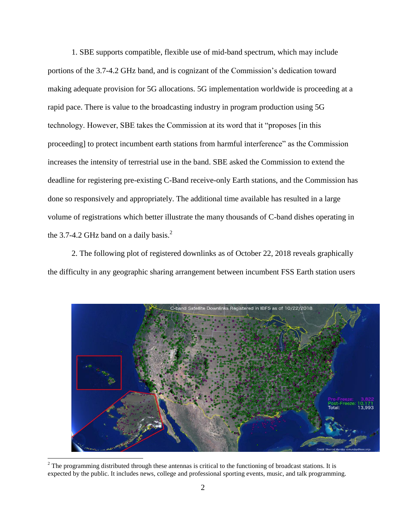1. SBE supports compatible, flexible use of mid-band spectrum, which may include portions of the 3.7-4.2 GHz band, and is cognizant of the Commission's dedication toward making adequate provision for 5G allocations. 5G implementation worldwide is proceeding at a rapid pace. There is value to the broadcasting industry in program production using 5G technology. However, SBE takes the Commission at its word that it "proposes [in this proceeding] to protect incumbent earth stations from harmful interference" as the Commission increases the intensity of terrestrial use in the band. SBE asked the Commission to extend the deadline for registering pre-existing C-Band receive-only Earth stations, and the Commission has done so responsively and appropriately. The additional time available has resulted in a large volume of registrations which better illustrate the many thousands of C-band dishes operating in the 3.7-4.2 GHz band on a daily basis.<sup>2</sup>

2. The following plot of registered downlinks as of October 22, 2018 reveals graphically the difficulty in any geographic sharing arrangement between incumbent FSS Earth station users



 $2$  The programming distributed through these antennas is critical to the functioning of broadcast stations. It is expected by the public. It includes news, college and professional sporting events, music, and talk programming.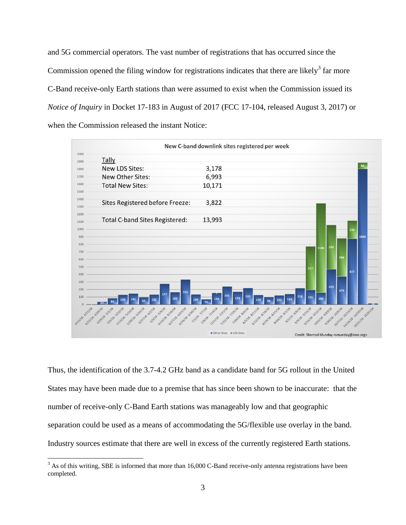and 5G commercial operators. The vast number of registrations that has occurred since the Commission opened the filing window for registrations indicates that there are likely<sup>3</sup> far more C-Band receive-only Earth stations than were assumed to exist when the Commission issued its *Notice of Inquiry* in Docket 17-183 in August of 2017 (FCC 17-104, released August 3, 2017) or when the Commission released the instant Notice:



Thus, the identification of the 3.7-4.2 GHz band as a candidate band for 5G rollout in the United States may have been made due to a premise that has since been shown to be inaccurate: that the number of receive-only C-Band Earth stations was manageably low and that geographic separation could be used as a means of accommodating the 5G/flexible use overlay in the band. Industry sources estimate that there are well in excess of the currently registered Earth stations.

<sup>&</sup>lt;sup>3</sup> As of this writing, SBE is informed that more than 16,000 C-Band receive-only antenna registrations have been completed.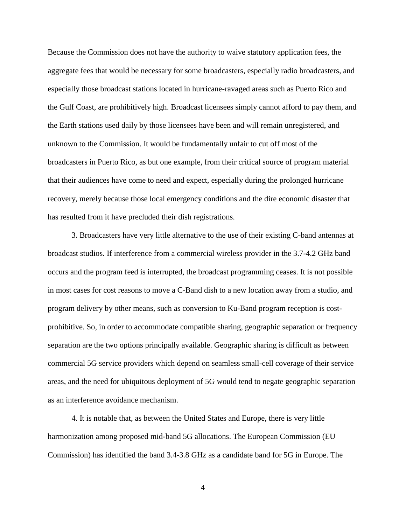Because the Commission does not have the authority to waive statutory application fees, the aggregate fees that would be necessary for some broadcasters, especially radio broadcasters, and especially those broadcast stations located in hurricane-ravaged areas such as Puerto Rico and the Gulf Coast, are prohibitively high. Broadcast licensees simply cannot afford to pay them, and the Earth stations used daily by those licensees have been and will remain unregistered, and unknown to the Commission. It would be fundamentally unfair to cut off most of the broadcasters in Puerto Rico, as but one example, from their critical source of program material that their audiences have come to need and expect, especially during the prolonged hurricane recovery, merely because those local emergency conditions and the dire economic disaster that has resulted from it have precluded their dish registrations.

3. Broadcasters have very little alternative to the use of their existing C-band antennas at broadcast studios. If interference from a commercial wireless provider in the 3.7-4.2 GHz band occurs and the program feed is interrupted, the broadcast programming ceases. It is not possible in most cases for cost reasons to move a C-Band dish to a new location away from a studio, and program delivery by other means, such as conversion to Ku-Band program reception is costprohibitive. So, in order to accommodate compatible sharing, geographic separation or frequency separation are the two options principally available. Geographic sharing is difficult as between commercial 5G service providers which depend on seamless small-cell coverage of their service areas, and the need for ubiquitous deployment of 5G would tend to negate geographic separation as an interference avoidance mechanism.

4. It is notable that, as between the United States and Europe, there is very little harmonization among proposed mid-band 5G allocations. The European Commission (EU Commission) has identified the band 3.4-3.8 GHz as a candidate band for 5G in Europe. The

4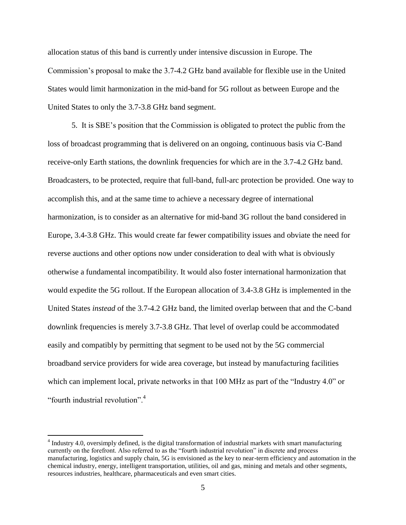allocation status of this band is currently under intensive discussion in Europe. The Commission's proposal to make the 3.7-4.2 GHz band available for flexible use in the United States would limit harmonization in the mid-band for 5G rollout as between Europe and the United States to only the 3.7-3.8 GHz band segment.

5. It is SBE's position that the Commission is obligated to protect the public from the loss of broadcast programming that is delivered on an ongoing, continuous basis via C-Band receive-only Earth stations, the downlink frequencies for which are in the 3.7-4.2 GHz band. Broadcasters, to be protected, require that full-band, full-arc protection be provided. One way to accomplish this, and at the same time to achieve a necessary degree of international harmonization, is to consider as an alternative for mid-band 3G rollout the band considered in Europe, 3.4-3.8 GHz. This would create far fewer compatibility issues and obviate the need for reverse auctions and other options now under consideration to deal with what is obviously otherwise a fundamental incompatibility. It would also foster international harmonization that would expedite the 5G rollout. If the European allocation of 3.4-3.8 GHz is implemented in the United States *instead* of the 3.7-4.2 GHz band, the limited overlap between that and the C-band downlink frequencies is merely 3.7-3.8 GHz. That level of overlap could be accommodated easily and compatibly by permitting that segment to be used not by the 5G commercial broadband service providers for wide area coverage, but instead by manufacturing facilities which can implement local, private networks in that 100 MHz as part of the "Industry 4.0" or "fourth industrial revolution".<sup>4</sup>

 $4$  Industry 4.0, oversimply defined, is the digital transformation of industrial markets with smart manufacturing currently on the forefront. Also referred to as the "fourth industrial revolution" in discrete and process manufacturing, logistics and supply chain, 5G is envisioned as the key to near-term efficiency and automation in the chemical industry, energy, intelligent transportation, utilities, oil and gas, mining and metals and other segments, resources industries, healthcare, pharmaceuticals and even smart cities.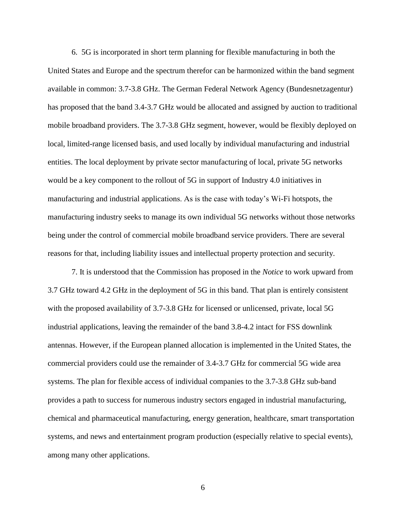6. 5G is incorporated in short term planning for flexible manufacturing in both the United States and Europe and the spectrum therefor can be harmonized within the band segment available in common: 3.7-3.8 GHz. The German Federal Network Agency (Bundesnetzagentur) has proposed that the band 3.4-3.7 GHz would be allocated and assigned by auction to traditional mobile broadband providers. The 3.7-3.8 GHz segment, however, would be flexibly deployed on local, limited-range licensed basis, and used locally by individual manufacturing and industrial entities. The local deployment by private sector manufacturing of local, private 5G networks would be a key component to the rollout of 5G in support of Industry 4.0 initiatives in manufacturing and industrial applications. As is the case with today's Wi-Fi hotspots, the manufacturing industry seeks to manage its own individual 5G networks without those networks being under the control of commercial mobile broadband service providers. There are several reasons for that, including liability issues and intellectual property protection and security.

7. It is understood that the Commission has proposed in the *Notice* to work upward from 3.7 GHz toward 4.2 GHz in the deployment of 5G in this band. That plan is entirely consistent with the proposed availability of 3.7-3.8 GHz for licensed or unlicensed, private, local 5G industrial applications, leaving the remainder of the band 3.8-4.2 intact for FSS downlink antennas. However, if the European planned allocation is implemented in the United States, the commercial providers could use the remainder of 3.4-3.7 GHz for commercial 5G wide area systems. The plan for flexible access of individual companies to the 3.7-3.8 GHz sub-band provides a path to success for numerous industry sectors engaged in industrial manufacturing, chemical and pharmaceutical manufacturing, energy generation, healthcare, smart transportation systems, and news and entertainment program production (especially relative to special events), among many other applications.

6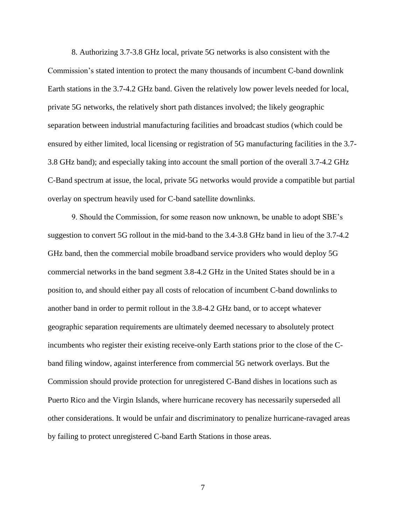8. Authorizing 3.7-3.8 GHz local, private 5G networks is also consistent with the Commission's stated intention to protect the many thousands of incumbent C-band downlink Earth stations in the 3.7-4.2 GHz band. Given the relatively low power levels needed for local, private 5G networks, the relatively short path distances involved; the likely geographic separation between industrial manufacturing facilities and broadcast studios (which could be ensured by either limited, local licensing or registration of 5G manufacturing facilities in the 3.7- 3.8 GHz band); and especially taking into account the small portion of the overall 3.7-4.2 GHz C-Band spectrum at issue, the local, private 5G networks would provide a compatible but partial overlay on spectrum heavily used for C-band satellite downlinks.

9. Should the Commission, for some reason now unknown, be unable to adopt SBE's suggestion to convert 5G rollout in the mid-band to the 3.4-3.8 GHz band in lieu of the 3.7-4.2 GHz band, then the commercial mobile broadband service providers who would deploy 5G commercial networks in the band segment 3.8-4.2 GHz in the United States should be in a position to, and should either pay all costs of relocation of incumbent C-band downlinks to another band in order to permit rollout in the 3.8-4.2 GHz band, or to accept whatever geographic separation requirements are ultimately deemed necessary to absolutely protect incumbents who register their existing receive-only Earth stations prior to the close of the Cband filing window, against interference from commercial 5G network overlays. But the Commission should provide protection for unregistered C-Band dishes in locations such as Puerto Rico and the Virgin Islands, where hurricane recovery has necessarily superseded all other considerations. It would be unfair and discriminatory to penalize hurricane-ravaged areas by failing to protect unregistered C-band Earth Stations in those areas.

7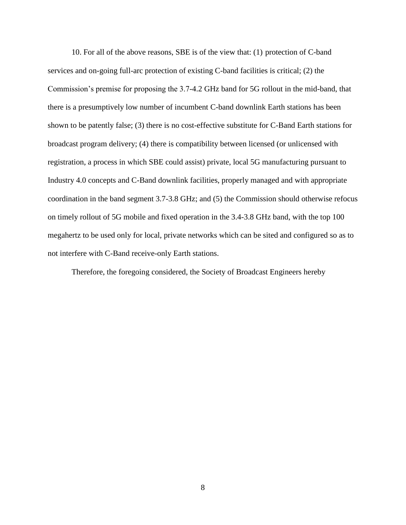10. For all of the above reasons, SBE is of the view that: (1) protection of C-band services and on-going full-arc protection of existing C-band facilities is critical; (2) the Commission's premise for proposing the 3.7-4.2 GHz band for 5G rollout in the mid-band, that there is a presumptively low number of incumbent C-band downlink Earth stations has been shown to be patently false; (3) there is no cost-effective substitute for C-Band Earth stations for broadcast program delivery; (4) there is compatibility between licensed (or unlicensed with registration, a process in which SBE could assist) private, local 5G manufacturing pursuant to Industry 4.0 concepts and C-Band downlink facilities, properly managed and with appropriate coordination in the band segment 3.7-3.8 GHz; and (5) the Commission should otherwise refocus on timely rollout of 5G mobile and fixed operation in the 3.4-3.8 GHz band, with the top 100 megahertz to be used only for local, private networks which can be sited and configured so as to not interfere with C-Band receive-only Earth stations.

Therefore, the foregoing considered, the Society of Broadcast Engineers hereby